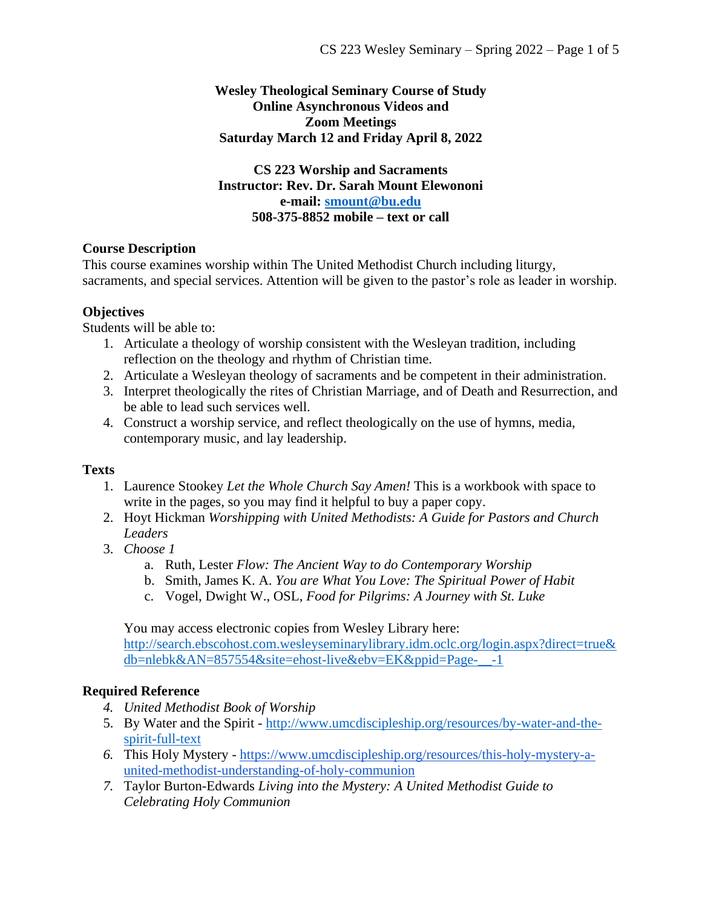#### **Wesley Theological Seminary Course of Study Online Asynchronous Videos and Zoom Meetings Saturday March 12 and Friday April 8, 2022**

**CS 223 Worship and Sacraments Instructor: Rev. Dr. Sarah Mount Elewononi e-mail: [smount@bu.edu](mailto:smount@bu.edu) 508-375-8852 mobile – text or call**

## **Course Description**

This course examines worship within The United Methodist Church including liturgy, sacraments, and special services. Attention will be given to the pastor's role as leader in worship.

## **Objectives**

Students will be able to:

- 1. Articulate a theology of worship consistent with the Wesleyan tradition, including reflection on the theology and rhythm of Christian time.
- 2. Articulate a Wesleyan theology of sacraments and be competent in their administration.
- 3. Interpret theologically the rites of Christian Marriage, and of Death and Resurrection, and be able to lead such services well.
- 4. Construct a worship service, and reflect theologically on the use of hymns, media, contemporary music, and lay leadership.

### **Texts**

- 1. Laurence Stookey *Let the Whole Church Say Amen!* This is a workbook with space to write in the pages, so you may find it helpful to buy a paper copy.
- 2. Hoyt Hickman *Worshipping with United Methodists: A Guide for Pastors and Church Leaders*
- 3. *Choose 1*
	- a. Ruth, Lester *Flow: The Ancient Way to do Contemporary Worship*
	- b. Smith, James K. A. *You are What You Love: The Spiritual Power of Habit*
	- c. Vogel, Dwight W., OSL, *Food for Pilgrims: A Journey with St. Luke*

You may access electronic copies from Wesley Library here:

[http://search.ebscohost.com.wesleyseminarylibrary.idm.oclc.org/login.aspx?direct=true&](http://search.ebscohost.com.wesleyseminarylibrary.idm.oclc.org/login.aspx?direct=true&db=nlebk&AN=857554&site=ehost-live&ebv=EK&ppid=Page-__-1) [db=nlebk&AN=857554&site=ehost-live&ebv=EK&ppid=Page-\\_\\_-1](http://search.ebscohost.com.wesleyseminarylibrary.idm.oclc.org/login.aspx?direct=true&db=nlebk&AN=857554&site=ehost-live&ebv=EK&ppid=Page-__-1)

# **Required Reference**

- *4. United Methodist Book of Worship*
- 5. By Water and the Spirit [http://www.umcdiscipleship.org/resources/by-water-and-the](http://www.umcdiscipleship.org/resources/by-water-and-the-spirit-full-text)[spirit-full-text](http://www.umcdiscipleship.org/resources/by-water-and-the-spirit-full-text)
- *6.* This Holy Mystery [https://www.umcdiscipleship.org/resources/this-holy-mystery-a](https://www.umcdiscipleship.org/resources/this-holy-mystery-a-united-methodist-understanding-of-holy-communion)[united-methodist-understanding-of-holy-communion](https://www.umcdiscipleship.org/resources/this-holy-mystery-a-united-methodist-understanding-of-holy-communion)
- *7.* Taylor Burton-Edwards *Living into the Mystery: A United Methodist Guide to Celebrating Holy Communion*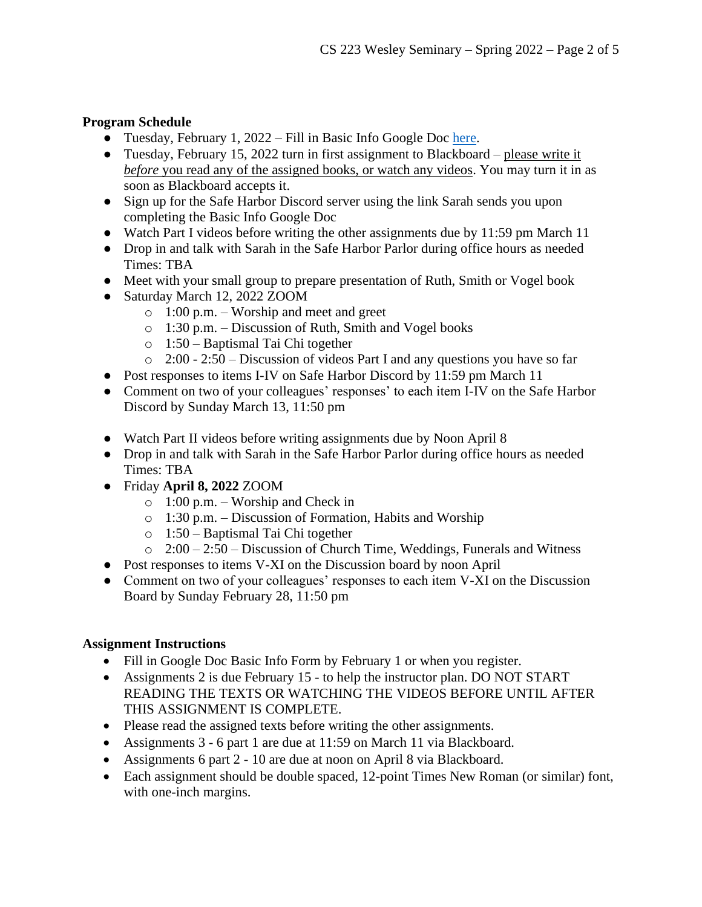## **Program Schedule**

- Tuesday, February 1, 2022 Fill in Basic Info Google Doc [here.](https://docs.google.com/forms/d/1hKDYLzTN4XOfoRmse2eKZ3s-4LeuN6azg0cVpTINfUs/edit)
- Tuesday, February 15, 2022 turn in first assignment to Blackboard please write it *before* you read any of the assigned books, or watch any videos. You may turn it in as soon as Blackboard accepts it.
- Sign up for the Safe Harbor Discord server using the link Sarah sends you upon completing the Basic Info Google Doc
- Watch Part I videos before writing the other assignments due by 11:59 pm March 11
- Drop in and talk with Sarah in the Safe Harbor Parlor during office hours as needed Times: TBA
- Meet with your small group to prepare presentation of Ruth, Smith or Vogel book
- Saturday March 12, 2022 ZOOM
	- o 1:00 p.m. Worship and meet and greet
	- o 1:30 p.m. Discussion of Ruth, Smith and Vogel books
	- o 1:50 Baptismal Tai Chi together
	- o 2:00 2:50 Discussion of videos Part I and any questions you have so far
- Post responses to items I-IV on Safe Harbor Discord by 11:59 pm March 11
- Comment on two of your colleagues' responses' to each item I-IV on the Safe Harbor Discord by Sunday March 13, 11:50 pm
- Watch Part II videos before writing assignments due by Noon April 8
- Drop in and talk with Sarah in the Safe Harbor Parlor during office hours as needed Times: TBA
- Friday **April 8, 2022** ZOOM
	- o 1:00 p.m. Worship and Check in
	- o 1:30 p.m. Discussion of Formation, Habits and Worship
	- o 1:50 Baptismal Tai Chi together
	- $\degree$  2:00 2:50 Discussion of Church Time, Weddings, Funerals and Witness
- Post responses to items V-XI on the Discussion board by noon April
- Comment on two of your colleagues' responses to each item V-XI on the Discussion Board by Sunday February 28, 11:50 pm

### **Assignment Instructions**

- Fill in Google Doc Basic Info Form by February 1 or when you register.
- Assignments 2 is due February 15 to help the instructor plan. DO NOT START READING THE TEXTS OR WATCHING THE VIDEOS BEFORE UNTIL AFTER THIS ASSIGNMENT IS COMPLETE.
- Please read the assigned texts before writing the other assignments.
- Assignments 3 6 part 1 are due at 11:59 on March 11 via Blackboard.
- Assignments 6 part 2 10 are due at noon on April 8 via Blackboard.
- Each assignment should be double spaced, 12-point Times New Roman (or similar) font, with one-inch margins.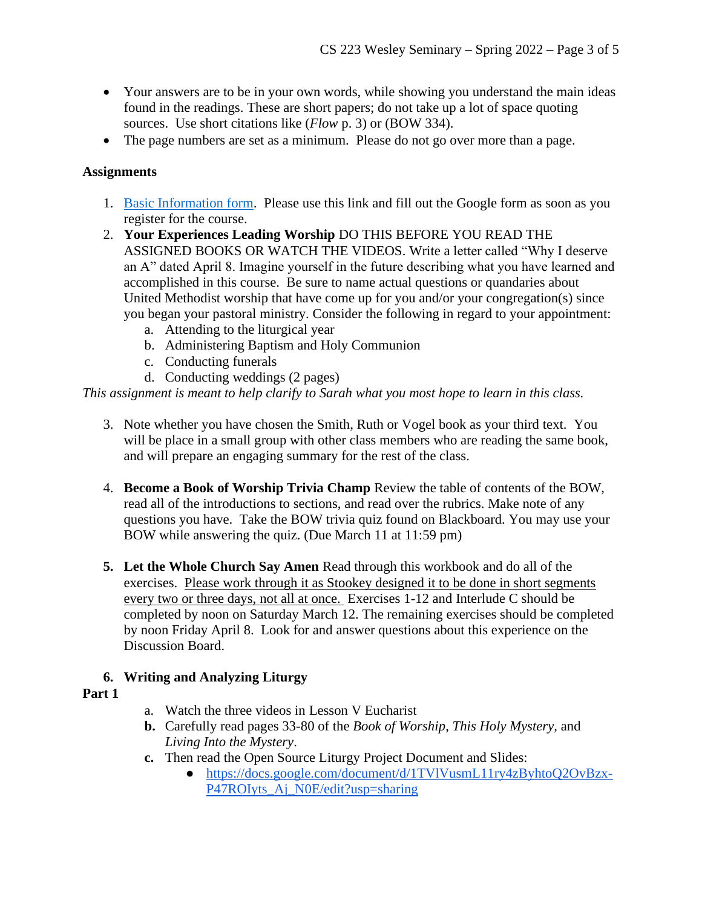- Your answers are to be in your own words, while showing you understand the main ideas found in the readings. These are short papers; do not take up a lot of space quoting sources. Use short citations like (*Flow* p. 3) or (BOW 334).
- The page numbers are set as a minimum. Please do not go over more than a page.

## **Assignments**

- 1. [Basic Information form.](https://docs.google.com/forms/d/e/1FAIpQLSczopojxJ3XH_xBT15i2DOg-GbrWQeaOtXkRgsiztuJ2WUjuQ/viewform?usp=sf_link) Please use this link and fill out the Google form as soon as you register for the course.
- 2. **Your Experiences Leading Worship** DO THIS BEFORE YOU READ THE ASSIGNED BOOKS OR WATCH THE VIDEOS. Write a letter called "Why I deserve an A" dated April 8. Imagine yourself in the future describing what you have learned and accomplished in this course. Be sure to name actual questions or quandaries about United Methodist worship that have come up for you and/or your congregation(s) since you began your pastoral ministry. Consider the following in regard to your appointment:
	- a. Attending to the liturgical year
	- b. Administering Baptism and Holy Communion
	- c. Conducting funerals
	- d. Conducting weddings (2 pages)

*This assignment is meant to help clarify to Sarah what you most hope to learn in this class.*

- 3. Note whether you have chosen the Smith, Ruth or Vogel book as your third text. You will be place in a small group with other class members who are reading the same book, and will prepare an engaging summary for the rest of the class.
- 4. **Become a Book of Worship Trivia Champ** Review the table of contents of the BOW, read all of the introductions to sections, and read over the rubrics. Make note of any questions you have. Take the BOW trivia quiz found on Blackboard. You may use your BOW while answering the quiz. (Due March 11 at 11:59 pm)
- **5. Let the Whole Church Say Amen** Read through this workbook and do all of the exercises. Please work through it as Stookey designed it to be done in short segments every two or three days, not all at once. Exercises 1-12 and Interlude C should be completed by noon on Saturday March 12. The remaining exercises should be completed by noon Friday April 8. Look for and answer questions about this experience on the Discussion Board.

# **6. Writing and Analyzing Liturgy**

- **Part 1**
- a. Watch the three videos in Lesson V Eucharist
- **b.** Carefully read pages 33-80 of the *Book of Worship*, *This Holy Mystery,* and *Living Into the Mystery*.
- **c.** Then read the Open Source Liturgy Project Document and Slides:
	- [https://docs.google.com/document/d/1TVlVusmL11ry4zByhtoQ2OvBzx-](https://docs.google.com/document/d/1TVlVusmL11ry4zByhtoQ2OvBzx-P47ROIyts_Aj_N0E/edit?usp=sharing)[P47ROIyts\\_Aj\\_N0E/edit?usp=sharing](https://docs.google.com/document/d/1TVlVusmL11ry4zByhtoQ2OvBzx-P47ROIyts_Aj_N0E/edit?usp=sharing)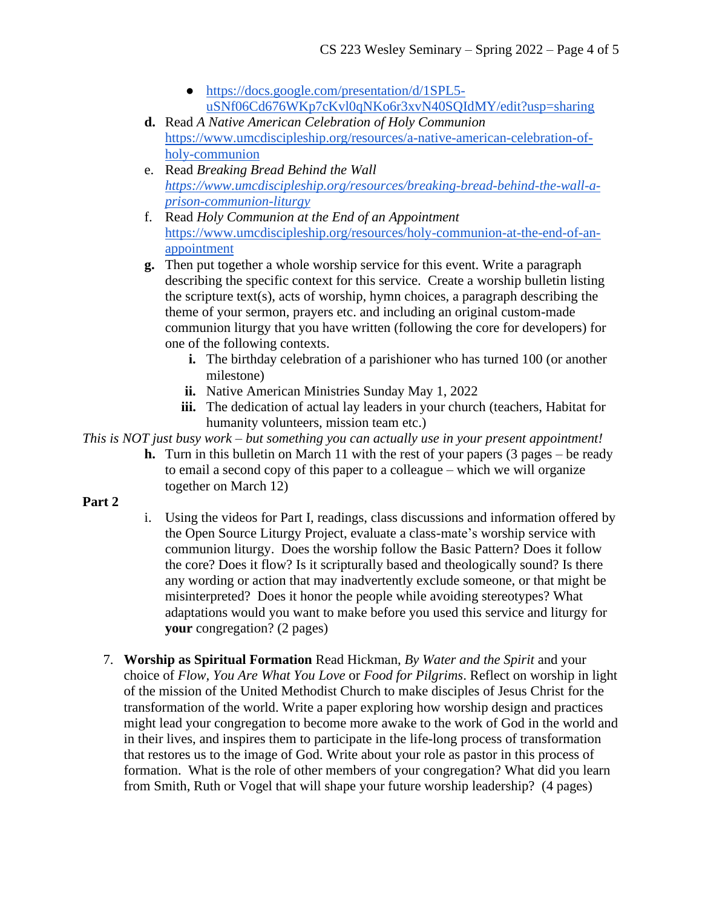- [https://docs.google.com/presentation/d/1SPL5](https://docs.google.com/presentation/d/1SPL5-uSNf06Cd676WKp7cKvl0qNKo6r3xvN40SQIdMY/edit?usp=sharing) [uSNf06Cd676WKp7cKvl0qNKo6r3xvN40SQIdMY/edit?usp=sharing](https://docs.google.com/presentation/d/1SPL5-uSNf06Cd676WKp7cKvl0qNKo6r3xvN40SQIdMY/edit?usp=sharing)
- **d.** Read *A Native American Celebration of Holy Communion*  [https://www.umcdiscipleship.org/resources/a-native-american-celebration-of](https://www.umcdiscipleship.org/resources/a-native-american-celebration-of-holy-communion)[holy-communion](https://www.umcdiscipleship.org/resources/a-native-american-celebration-of-holy-communion)
- e. Read *Breaking Bread Behind the Wall [https://www.umcdiscipleship.org/resources/breaking-bread-behind-the-wall-a](https://www.umcdiscipleship.org/resources/breaking-bread-behind-the-wall-a-prison-communion-liturgy)[prison-communion-liturgy](https://www.umcdiscipleship.org/resources/breaking-bread-behind-the-wall-a-prison-communion-liturgy)*
- f. Read *Holy Communion at the End of an Appointment* [https://www.umcdiscipleship.org/resources/holy-communion-at-the-end-of-an](https://www.umcdiscipleship.org/resources/holy-communion-at-the-end-of-an-appointment)[appointment](https://www.umcdiscipleship.org/resources/holy-communion-at-the-end-of-an-appointment)
- **g.** Then put together a whole worship service for this event. Write a paragraph describing the specific context for this service. Create a worship bulletin listing the scripture text(s), acts of worship, hymn choices, a paragraph describing the theme of your sermon, prayers etc. and including an original custom-made communion liturgy that you have written (following the core for developers) for one of the following contexts.
	- **i.** The birthday celebration of a parishioner who has turned 100 (or another milestone)
	- **ii.** Native American Ministries Sunday May 1, 2022
	- **iii.** The dedication of actual lay leaders in your church (teachers, Habitat for humanity volunteers, mission team etc.)

*This is NOT just busy work – but something you can actually use in your present appointment!*

**h.** Turn in this bulletin on March 11 with the rest of your papers (3 pages – be ready to email a second copy of this paper to a colleague – which we will organize together on March 12)

# **Part 2**

- i. Using the videos for Part I, readings, class discussions and information offered by the Open Source Liturgy Project, evaluate a class-mate's worship service with communion liturgy. Does the worship follow the Basic Pattern? Does it follow the core? Does it flow? Is it scripturally based and theologically sound? Is there any wording or action that may inadvertently exclude someone, or that might be misinterpreted? Does it honor the people while avoiding stereotypes? What adaptations would you want to make before you used this service and liturgy for **your** congregation? (2 pages)
- 7. **Worship as Spiritual Formation** Read Hickman, *By Water and the Spirit* and your choice of *Flow, You Are What You Love* or *Food for Pilgrims*. Reflect on worship in light of the mission of the United Methodist Church to make disciples of Jesus Christ for the transformation of the world. Write a paper exploring how worship design and practices might lead your congregation to become more awake to the work of God in the world and in their lives, and inspires them to participate in the life-long process of transformation that restores us to the image of God. Write about your role as pastor in this process of formation. What is the role of other members of your congregation? What did you learn from Smith, Ruth or Vogel that will shape your future worship leadership? (4 pages)